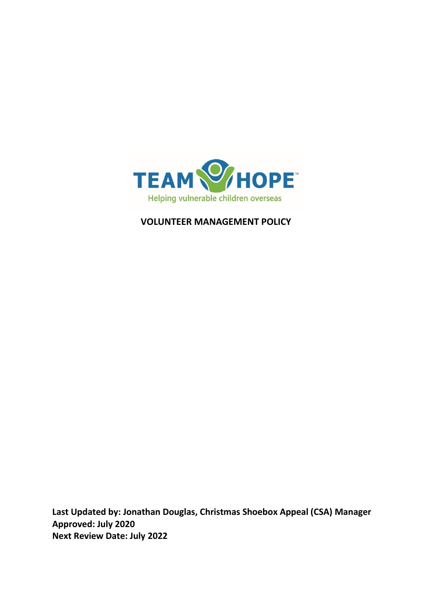

**VOLUNTEER MANAGEMENT POLICY**

**Last Updated by: Jonathan Douglas, Christmas Shoebox Appeal (CSA) Manager Approved: July 2020 Next Review Date: July 2022**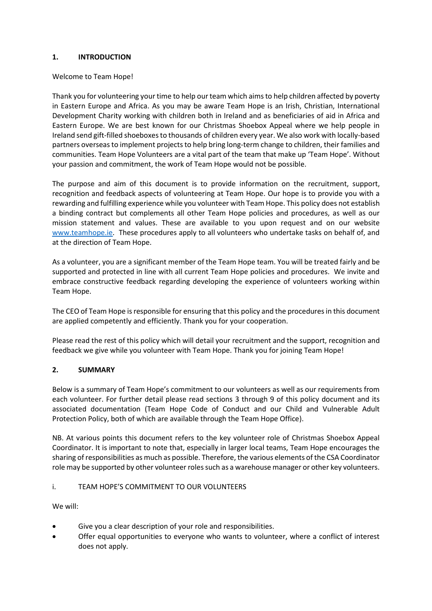#### **1. INTRODUCTION**

#### Welcome to Team Hope!

Thank you for volunteering your time to help our team which aims to help children affected by poverty in Eastern Europe and Africa. As you may be aware Team Hope is an Irish, Christian, International Development Charity working with children both in Ireland and as beneficiaries of aid in Africa and Eastern Europe. We are best known for our Christmas Shoebox Appeal where we help people in Ireland send gift-filled shoeboxes to thousands of children every year. We also work with locally-based partners overseas to implement projects to help bring long-term change to children, their families and communities. Team Hope Volunteers are a vital part of the team that make up 'Team Hope'. Without your passion and commitment, the work of Team Hope would not be possible.

The purpose and aim of this document is to provide information on the recruitment, support, recognition and feedback aspects of volunteering at Team Hope. Our hope is to provide you with a rewarding and fulfilling experience while you volunteer with Team Hope. This policy does not establish a binding contract but complements all other Team Hope policies and procedures, as well as our mission statement and values. These are available to you upon request and on our website [www.teamhope.ie.](http://www.teamhope.ie/) These procedures apply to all volunteers who undertake tasks on behalf of, and at the direction of Team Hope.

As a volunteer, you are a significant member of the Team Hope team. You will be treated fairly and be supported and protected in line with all current Team Hope policies and procedures. We invite and embrace constructive feedback regarding developing the experience of volunteers working within Team Hope.

The CEO of Team Hope is responsible for ensuring that this policy and the procedures in this document are applied competently and efficiently. Thank you for your cooperation.

Please read the rest of this policy which will detail your recruitment and the support, recognition and feedback we give while you volunteer with Team Hope. Thank you for joining Team Hope!

### **2. SUMMARY**

Below is a summary of Team Hope's commitment to our volunteers as well as our requirements from each volunteer. For further detail please read sections 3 through 9 of this policy document and its associated documentation (Team Hope Code of Conduct and our Child and Vulnerable Adult Protection Policy, both of which are available through the Team Hope Office).

NB. At various points this document refers to the key volunteer role of Christmas Shoebox Appeal Coordinator. It is important to note that, especially in larger local teams, Team Hope encourages the sharing of responsibilities as much as possible. Therefore, the various elements of the CSA Coordinator role may be supported by other volunteer roles such as a warehouse manager or other key volunteers.

#### i. TEAM HOPE'S COMMITMENT TO OUR VOLUNTEERS

We will:

- Give you a clear description of your role and responsibilities.
- Offer equal opportunities to everyone who wants to volunteer, where a conflict of interest does not apply.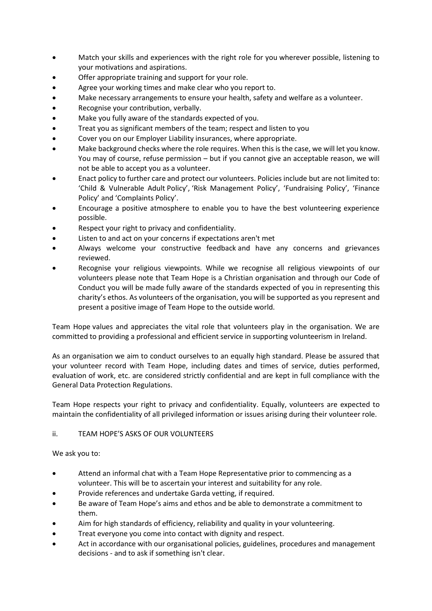- Match your skills and experiences with the right role for you wherever possible, listening to your motivations and aspirations.
- Offer appropriate training and support for your role.
- Agree your working times and make clear who you report to.
- Make necessary arrangements to ensure your health, safety and welfare as a volunteer.
- Recognise your contribution, verbally.
- Make you fully aware of the standards expected of you.
- Treat you as significant members of the team; respect and listen to you
- Cover you on our Employer Liability insurances, where appropriate.
- Make background checks where the role requires. When this is the case, we will let you know. You may of course, refuse permission – but if you cannot give an acceptable reason, we will not be able to accept you as a volunteer.
- Enact policy to further care and protect our volunteers. Policies include but are not limited to: 'Child & Vulnerable Adult Policy', 'Risk Management Policy', 'Fundraising Policy', 'Finance Policy' and 'Complaints Policy'.
- Encourage a positive atmosphere to enable you to have the best volunteering experience possible.
- Respect your right to privacy and confidentiality.
- Listen to and act on your concerns if expectations aren't met
- Always welcome your constructive feedback and have any concerns and grievances reviewed.
- Recognise your religious viewpoints. While we recognise all religious viewpoints of our volunteers please note that Team Hope is a Christian organisation and through our Code of Conduct you will be made fully aware of the standards expected of you in representing this charity's ethos. As volunteers of the organisation, you will be supported as you represent and present a positive image of Team Hope to the outside world.

Team Hope values and appreciates the vital role that volunteers play in the organisation. We are committed to providing a professional and efficient service in supporting volunteerism in Ireland.

As an organisation we aim to conduct ourselves to an equally high standard. Please be assured that your volunteer record with Team Hope, including dates and times of service, duties performed, evaluation of work, etc. are considered strictly confidential and are kept in full compliance with the General Data Protection Regulations.

Team Hope respects your right to privacy and confidentiality. Equally, volunteers are expected to maintain the confidentiality of all privileged information or issues arising during their volunteer role.

### ii. TEAM HOPE'S ASKS OF OUR VOLUNTEERS

### We ask you to:

- Attend an informal chat with a Team Hope Representative prior to commencing as a volunteer. This will be to ascertain your interest and suitability for any role.
- Provide references and undertake Garda vetting, if required.
- Be aware of Team Hope's aims and ethos and be able to demonstrate a commitment to them.
- Aim for high standards of efficiency, reliability and quality in your volunteering.
- Treat everyone you come into contact with dignity and respect.
- Act in accordance with our organisational policies, guidelines, procedures and management decisions - and to ask if something isn't clear.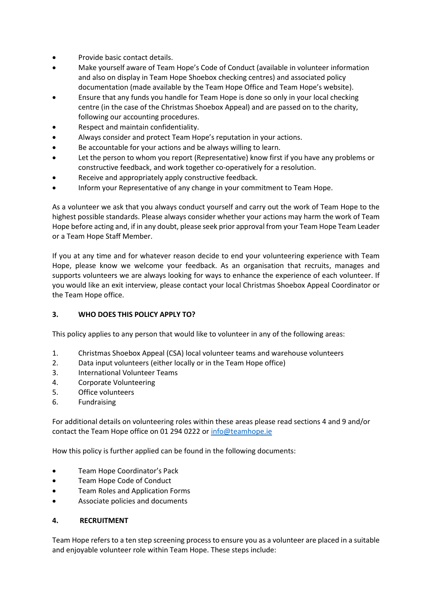- Provide basic contact details.
- Make yourself aware of Team Hope's Code of Conduct (available in volunteer information and also on display in Team Hope Shoebox checking centres) and associated policy documentation (made available by the Team Hope Office and Team Hope's website).
- Ensure that any funds you handle for Team Hope is done so only in your local checking centre (in the case of the Christmas Shoebox Appeal) and are passed on to the charity, following our accounting procedures.
- Respect and maintain confidentiality.
- Always consider and protect Team Hope's reputation in your actions.
- Be accountable for your actions and be always willing to learn.
- Let the person to whom you report (Representative) know first if you have any problems or constructive feedback, and work together co-operatively for a resolution.
- Receive and appropriately apply constructive feedback.
- Inform your Representative of any change in your commitment to Team Hope.

As a volunteer we ask that you always conduct yourself and carry out the work of Team Hope to the highest possible standards. Please always consider whether your actions may harm the work of Team Hope before acting and, if in any doubt, please seek prior approval from your Team Hope Team Leader or a Team Hope Staff Member.

If you at any time and for whatever reason decide to end your volunteering experience with Team Hope, please know we welcome your feedback. As an organisation that recruits, manages and supports volunteers we are always looking for ways to enhance the experience of each volunteer. If you would like an exit interview, please contact your local Christmas Shoebox Appeal Coordinator or the Team Hope office.

### **3. WHO DOES THIS POLICY APPLY TO?**

This policy applies to any person that would like to volunteer in any of the following areas:

- 1. Christmas Shoebox Appeal (CSA) local volunteer teams and warehouse volunteers
- 2. Data input volunteers (either locally or in the Team Hope office)
- 3. International Volunteer Teams
- 4. Corporate Volunteering
- 5. Office volunteers
- 6. Fundraising

For additional details on volunteering roles within these areas please read sections 4 and 9 and/or contact the Team Hope office on 01 294 0222 o[r info@teamhope.ie](mailto:info@teamhope.ie)

How this policy is further applied can be found in the following documents:

- **•** Team Hope Coordinator's Pack
- Team Hope Code of Conduct
- Team Roles and Application Forms
- Associate policies and documents

#### **4. RECRUITMENT**

Team Hope refers to a ten step screening process to ensure you as a volunteer are placed in a suitable and enjoyable volunteer role within Team Hope. These steps include: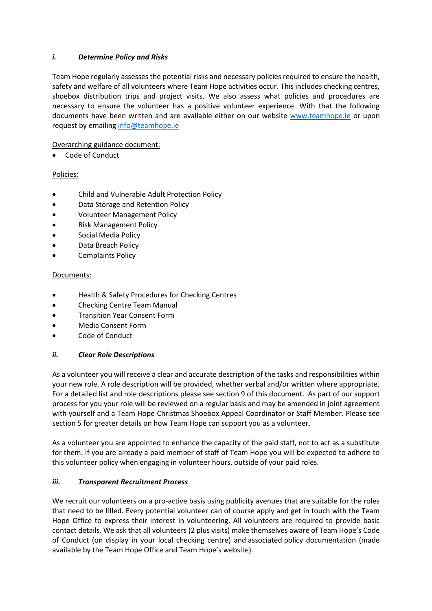### *i. Determine Policy and Risks*

Team Hope regularly assesses the potential risks and necessary policies required to ensure the health, safety and welfare of all volunteers where Team Hope activities occur. This includes checking centres, shoebox distribution trips and project visits. We also assess what policies and procedures are necessary to ensure the volunteer has a positive volunteer experience. With that the following documents have been written and are available either on our website [www.teamhope.ie](http://www.teamhope.ie/) or upon request by emailin[g info@teamhope.ie](mailto:info@teamhope.ie)

Overarching guidance document:

Code of Conduct

### Policies:

- Child and Vulnerable Adult Protection Policy
- Data Storage and Retention Policy
- Volunteer Management Policy
- Risk Management Policy
- Social Media Policy
- Data Breach Policy
- Complaints Policy

#### Documents:

- Health & Safety Procedures for Checking Centres
- Checking Centre Team Manual
- Transition Year Consent Form
- Media Consent Form
- Code of Conduct

### *ii. Clear Role Descriptions*

As a volunteer you will receive a clear and accurate description of the tasks and responsibilities within your new role. A role description will be provided, whether verbal and/or written where appropriate. For a detailed list and role descriptions please see section 9 of this document. As part of our support process for you your role will be reviewed on a regular basis and may be amended in joint agreement with yourself and a Team Hope Christmas Shoebox Appeal Coordinator or Staff Member. Please see section 5 for greater details on how Team Hope can support you as a volunteer.

As a volunteer you are appointed to enhance the capacity of the paid staff, not to act as a substitute for them. If you are already a paid member of staff of Team Hope you will be expected to adhere to this volunteer policy when engaging in volunteer hours, outside of your paid roles.

### *iii. Transparent Recruitment Process*

We recruit our volunteers on a pro-active basis using publicity avenues that are suitable for the roles that need to be filled. Every potential volunteer can of course apply and get in touch with the Team Hope Office to express their interest in volunteering. All volunteers are required to provide basic contact details. We ask that all volunteers (2 plus visits) make themselves aware of Team Hope's Code of Conduct (on display in your local checking centre) and associated policy documentation (made available by the Team Hope Office and Team Hope's website).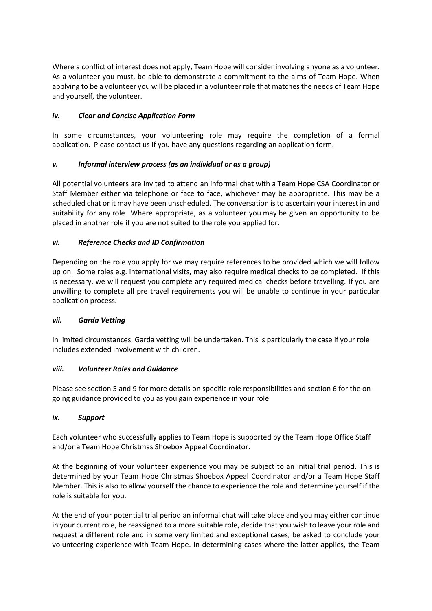Where a conflict of interest does not apply, Team Hope will consider involving anyone as a volunteer. As a volunteer you must, be able to demonstrate a commitment to the aims of Team Hope. When applying to be a volunteer you will be placed in a volunteer role that matches the needs of Team Hope and yourself, the volunteer.

### *iv. Clear and Concise Application Form*

In some circumstances, your volunteering role may require the completion of a formal application. Please contact us if you have any questions regarding an application form.

## *v. Informal interview process (as an individual or as a group)*

All potential volunteers are invited to attend an informal chat with a Team Hope CSA Coordinator or Staff Member either via telephone or face to face, whichever may be appropriate. This may be a scheduled chat or it may have been unscheduled. The conversation is to ascertain your interest in and suitability for any role. Where appropriate, as a volunteer you may be given an opportunity to be placed in another role if you are not suited to the role you applied for.

## *vi. Reference Checks and ID Confirmation*

Depending on the role you apply for we may require references to be provided which we will follow up on. Some roles e.g. international visits, may also require medical checks to be completed. If this is necessary, we will request you complete any required medical checks before travelling. If you are unwilling to complete all pre travel requirements you will be unable to continue in your particular application process.

### *vii. Garda Vetting*

In limited circumstances, Garda vetting will be undertaken. This is particularly the case if your role includes extended involvement with children.

### *viii. Volunteer Roles and Guidance*

Please see section 5 and 9 for more details on specific role responsibilities and section 6 for the ongoing guidance provided to you as you gain experience in your role.

### *ix. Support*

Each volunteer who successfully applies to Team Hope is supported by the Team Hope Office Staff and/or a Team Hope Christmas Shoebox Appeal Coordinator.

At the beginning of your volunteer experience you may be subject to an initial trial period. This is determined by your Team Hope Christmas Shoebox Appeal Coordinator and/or a Team Hope Staff Member. This is also to allow yourself the chance to experience the role and determine yourself if the role is suitable for you.

At the end of your potential trial period an informal chat will take place and you may either continue in your current role, be reassigned to a more suitable role, decide that you wish to leave your role and request a different role and in some very limited and exceptional cases, be asked to conclude your volunteering experience with Team Hope. In determining cases where the latter applies, the Team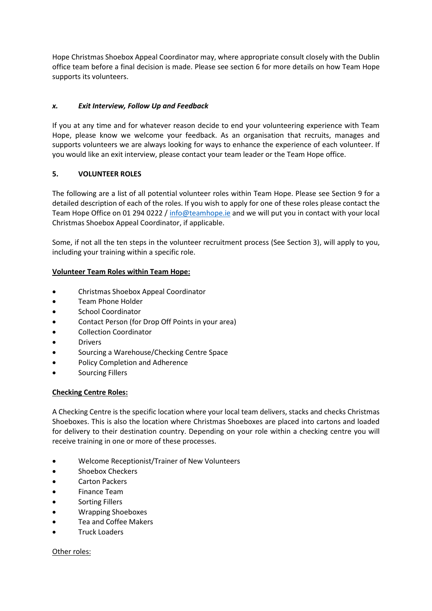Hope Christmas Shoebox Appeal Coordinator may, where appropriate consult closely with the Dublin office team before a final decision is made. Please see section 6 for more details on how Team Hope supports its volunteers.

### *x. Exit Interview, Follow Up and Feedback*

If you at any time and for whatever reason decide to end your volunteering experience with Team Hope, please know we welcome your feedback. As an organisation that recruits, manages and supports volunteers we are always looking for ways to enhance the experience of each volunteer. If you would like an exit interview, please contact your team leader or the Team Hope office.

### **5. VOLUNTEER ROLES**

The following are a list of all potential volunteer roles within Team Hope. Please see Section 9 for a detailed description of each of the roles. If you wish to apply for one of these roles please contact the Team Hope Office on 01 294 0222 [/ info@teamhope.ie](mailto:info@teamhope.ie) and we will put you in contact with your local Christmas Shoebox Appeal Coordinator, if applicable.

Some, if not all the ten steps in the volunteer recruitment process (See Section 3), will apply to you, including your training within a specific role.

### **Volunteer Team Roles within Team Hope:**

- Christmas Shoebox Appeal Coordinator
- Team Phone Holder
- School Coordinator
- Contact Person (for Drop Off Points in your area)
- Collection Coordinator
- Drivers
- Sourcing a Warehouse/Checking Centre Space
- Policy Completion and Adherence
- Sourcing Fillers

### **Checking Centre Roles:**

A Checking Centre is the specific location where your local team delivers, stacks and checks Christmas Shoeboxes. This is also the location where Christmas Shoeboxes are placed into cartons and loaded for delivery to their destination country. Depending on your role within a checking centre you will receive training in one or more of these processes.

- Welcome Receptionist/Trainer of New Volunteers
- Shoebox Checkers
- Carton Packers
- Finance Team
- Sorting Fillers
- Wrapping Shoeboxes
- Tea and Coffee Makers
- Truck Loaders

### Other roles: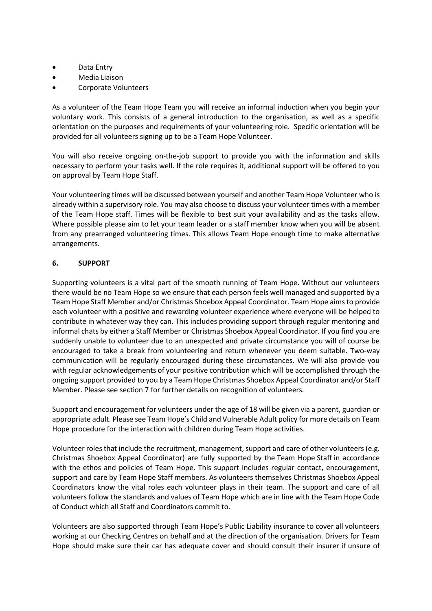- Data Entry
- Media Liaison
- Corporate Volunteers

As a volunteer of the Team Hope Team you will receive an informal induction when you begin your voluntary work. This consists of a general introduction to the organisation, as well as a specific orientation on the purposes and requirements of your volunteering role. Specific orientation will be provided for all volunteers signing up to be a Team Hope Volunteer.

You will also receive ongoing on-the-job support to provide you with the information and skills necessary to perform your tasks well. If the role requires it, additional support will be offered to you on approval by Team Hope Staff.

Your volunteering times will be discussed between yourself and another Team Hope Volunteer who is already within a supervisory role. You may also choose to discuss your volunteer times with a member of the Team Hope staff. Times will be flexible to best suit your availability and as the tasks allow. Where possible please aim to let your team leader or a staff member know when you will be absent from any prearranged volunteering times. This allows Team Hope enough time to make alternative arrangements.

#### **6. SUPPORT**

Supporting volunteers is a vital part of the smooth running of Team Hope. Without our volunteers there would be no Team Hope so we ensure that each person feels well managed and supported by a Team Hope Staff Member and/or Christmas Shoebox Appeal Coordinator. Team Hope aims to provide each volunteer with a positive and rewarding volunteer experience where everyone will be helped to contribute in whatever way they can. This includes providing support through regular mentoring and informal chats by either a Staff Member or Christmas Shoebox Appeal Coordinator. If you find you are suddenly unable to volunteer due to an unexpected and private circumstance you will of course be encouraged to take a break from volunteering and return whenever you deem suitable. Two-way communication will be regularly encouraged during these circumstances. We will also provide you with regular acknowledgements of your positive contribution which will be accomplished through the ongoing support provided to you by a Team Hope Christmas Shoebox Appeal Coordinator and/or Staff Member. Please see section 7 for further details on recognition of volunteers.

Support and encouragement for volunteers under the age of 18 will be given via a parent, guardian or appropriate adult. Please see Team Hope's Child and Vulnerable Adult policy for more details on Team Hope procedure for the interaction with children during Team Hope activities.

Volunteer roles that include the recruitment, management, support and care of other volunteers (e.g. Christmas Shoebox Appeal Coordinator) are fully supported by the Team Hope Staff in accordance with the ethos and policies of Team Hope. This support includes regular contact, encouragement, support and care by Team Hope Staff members. As volunteers themselves Christmas Shoebox Appeal Coordinators know the vital roles each volunteer plays in their team. The support and care of all volunteers follow the standards and values of Team Hope which are in line with the Team Hope Code of Conduct which all Staff and Coordinators commit to.

Volunteers are also supported through Team Hope's Public Liability insurance to cover all volunteers working at our Checking Centres on behalf and at the direction of the organisation. Drivers for Team Hope should make sure their car has adequate cover and should consult their insurer if unsure of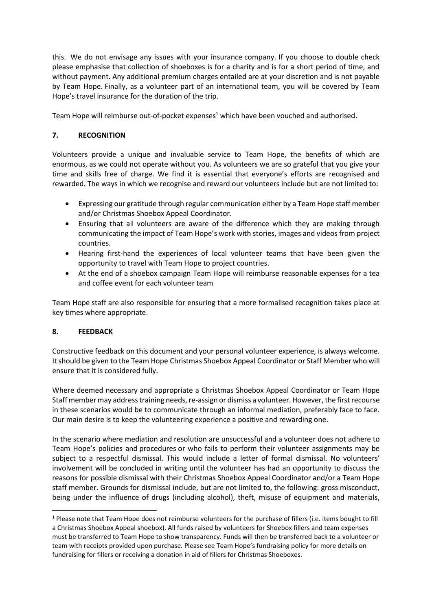this. We do not envisage any issues with your insurance company. If you choose to double check please emphasise that collection of shoeboxes is for a charity and is for a short period of time, and without payment. Any additional premium charges entailed are at your discretion and is not payable by Team Hope. Finally, as a volunteer part of an international team, you will be covered by Team Hope's travel insurance for the duration of the trip.

Team Hope will reimburse out-of-pocket expenses<sup>1</sup> which have been vouched and authorised.

## **7. RECOGNITION**

Volunteers provide a unique and invaluable service to Team Hope, the benefits of which are enormous, as we could not operate without you. As volunteers we are so grateful that you give your time and skills free of charge. We find it is essential that everyone's efforts are recognised and rewarded. The ways in which we recognise and reward our volunteers include but are not limited to:

- Expressing our gratitude through regular communication either by a Team Hope staff member and/or Christmas Shoebox Appeal Coordinator.
- Ensuring that all volunteers are aware of the difference which they are making through communicating the impact of Team Hope's work with stories, images and videos from project countries.
- Hearing first-hand the experiences of local volunteer teams that have been given the opportunity to travel with Team Hope to project countries.
- At the end of a shoebox campaign Team Hope will reimburse reasonable expenses for a tea and coffee event for each volunteer team

Team Hope staff are also responsible for ensuring that a more formalised recognition takes place at key times where appropriate.

### **8. FEEDBACK**

 $\overline{a}$ 

Constructive feedback on this document and your personal volunteer experience, is always welcome. It should be given to the Team Hope Christmas Shoebox Appeal Coordinator or Staff Member who will ensure that it is considered fully.

Where deemed necessary and appropriate a Christmas Shoebox Appeal Coordinator or Team Hope Staff member may address training needs, re-assign or dismiss a volunteer. However, the first recourse in these scenarios would be to communicate through an informal mediation, preferably face to face. Our main desire is to keep the volunteering experience a positive and rewarding one.

In the scenario where mediation and resolution are unsuccessful and a volunteer does not adhere to Team Hope's policies and procedures or who fails to perform their volunteer assignments may be subject to a respectful dismissal. This would include a letter of formal dismissal. No volunteers' involvement will be concluded in writing until the volunteer has had an opportunity to discuss the reasons for possible dismissal with their Christmas Shoebox Appeal Coordinator and/or a Team Hope staff member. Grounds for dismissal include, but are not limited to, the following: gross misconduct, being under the influence of drugs (including alcohol), theft, misuse of equipment and materials,

<sup>&</sup>lt;sup>1</sup> Please note that Team Hope does not reimburse volunteers for the purchase of fillers (i.e. items bought to fill a Christmas Shoebox Appeal shoebox). All funds raised by volunteers for Shoebox fillers and team expenses must be transferred to Team Hope to show transparency. Funds will then be transferred back to a volunteer or team with receipts provided upon purchase. Please see Team Hope's fundraising policy for more details on fundraising for fillers or receiving a donation in aid of fillers for Christmas Shoeboxes.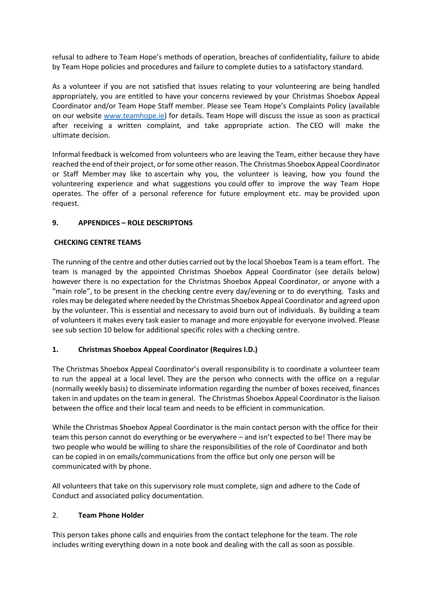refusal to adhere to Team Hope's methods of operation, breaches of confidentiality, failure to abide by Team Hope policies and procedures and failure to complete duties to a satisfactory standard.

As a volunteer if you are not satisfied that issues relating to your volunteering are being handled appropriately, you are entitled to have your concerns reviewed by your Christmas Shoebox Appeal Coordinator and/or Team Hope Staff member. Please see Team Hope's Complaints Policy (available on our website [www.teamhope.ie\)](http://www.teamhope.ie/) for details. Team Hope will discuss the issue as soon as practical after receiving a written complaint, and take appropriate action. The CEO will make the ultimate decision.

Informal feedback is welcomed from volunteers who are leaving the Team, either because they have reached the end of their project, or for some other reason. The Christmas Shoebox Appeal Coordinator or Staff Member may like to ascertain why you, the volunteer is leaving, how you found the volunteering experience and what suggestions you could offer to improve the way Team Hope operates. The offer of a personal reference for future employment etc. may be provided upon request.

### **9. APPENDICES – ROLE DESCRIPTONS**

#### **CHECKING CENTRE TEAMS**

The running of the centre and other duties carried out by the local Shoebox Team is a team effort. The team is managed by the appointed Christmas Shoebox Appeal Coordinator (see details below) however there is no expectation for the Christmas Shoebox Appeal Coordinator, or anyone with a "main role", to be present in the checking centre every day/evening or to do everything. Tasks and roles may be delegated where needed by the Christmas Shoebox Appeal Coordinator and agreed upon by the volunteer. This is essential and necessary to avoid burn out of individuals. By building a team of volunteers it makes every task easier to manage and more enjoyable for everyone involved. Please see sub section 10 below for additional specific roles with a checking centre.

#### **1. Christmas Shoebox Appeal Coordinator (Requires I.D.)**

The Christmas Shoebox Appeal Coordinator's overall responsibility is to coordinate a volunteer team to run the appeal at a local level. They are the person who connects with the office on a regular (normally weekly basis) to disseminate information regarding the number of boxes received, finances taken in and updates on the team in general. The Christmas Shoebox Appeal Coordinator is the liaison between the office and their local team and needs to be efficient in communication.

While the Christmas Shoebox Appeal Coordinator is the main contact person with the office for their team this person cannot do everything or be everywhere – and isn't expected to be! There may be two people who would be willing to share the responsibilities of the role of Coordinator and both can be copied in on emails/communications from the office but only one person will be communicated with by phone.

All volunteers that take on this supervisory role must complete, sign and adhere to the Code of Conduct and associated policy documentation.

#### 2. **Team Phone Holder**

This person takes phone calls and enquiries from the contact telephone for the team. The role includes writing everything down in a note book and dealing with the call as soon as possible.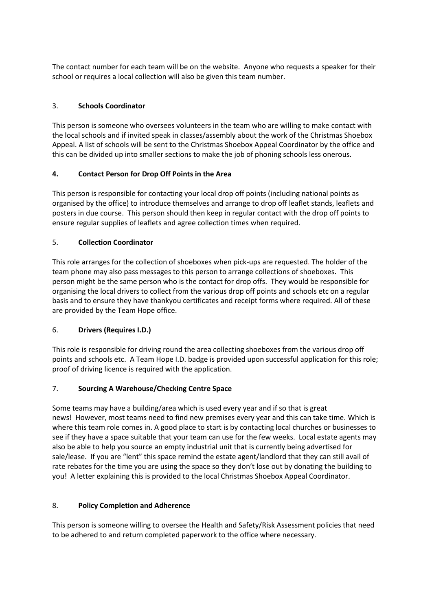The contact number for each team will be on the website. Anyone who requests a speaker for their school or requires a local collection will also be given this team number.

### 3. **Schools Coordinator**

This person is someone who oversees volunteers in the team who are willing to make contact with the local schools and if invited speak in classes/assembly about the work of the Christmas Shoebox Appeal. A list of schools will be sent to the Christmas Shoebox Appeal Coordinator by the office and this can be divided up into smaller sections to make the job of phoning schools less onerous.

### **4. Contact Person for Drop Off Points in the Area**

This person is responsible for contacting your local drop off points (including national points as organised by the office) to introduce themselves and arrange to drop off leaflet stands, leaflets and posters in due course. This person should then keep in regular contact with the drop off points to ensure regular supplies of leaflets and agree collection times when required.

## 5. **Collection Coordinator**

This role arranges for the collection of shoeboxes when pick-ups are requested. The holder of the team phone may also pass messages to this person to arrange collections of shoeboxes. This person might be the same person who is the contact for drop offs. They would be responsible for organising the local drivers to collect from the various drop off points and schools etc on a regular basis and to ensure they have thankyou certificates and receipt forms where required. All of these are provided by the Team Hope office.

### 6. **Drivers (Requires I.D.)**

This role is responsible for driving round the area collecting shoeboxes from the various drop off points and schools etc. A Team Hope I.D. badge is provided upon successful application for this role; proof of driving licence is required with the application.

# 7. **Sourcing A Warehouse/Checking Centre Space**

Some teams may have a building/area which is used every year and if so that is great news! However, most teams need to find new premises every year and this can take time. Which is where this team role comes in. A good place to start is by contacting local churches or businesses to see if they have a space suitable that your team can use for the few weeks. Local estate agents may also be able to help you source an empty industrial unit that is currently being advertised for sale/lease. If you are "lent" this space remind the estate agent/landlord that they can still avail of rate rebates for the time you are using the space so they don't lose out by donating the building to you! A letter explaining this is provided to the local Christmas Shoebox Appeal Coordinator.

### 8. **Policy Completion and Adherence**

This person is someone willing to oversee the Health and Safety/Risk Assessment policies that need to be adhered to and return completed paperwork to the office where necessary.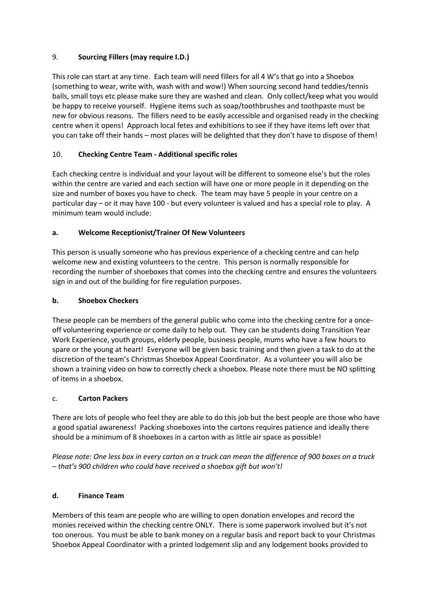## 9. **Sourcing Fillers (may require I.D.)**

This role can start at any time. Each team will need fillers for all 4 W's that go into a Shoebox (something to wear, write with, wash with and wow!) When sourcing second hand teddies/tennis balls, small toys etc please make sure they are washed and clean. Only collect/keep what you would be happy to receive yourself. Hygiene items such as soap/toothbrushes and toothpaste must be new for obvious reasons. The fillers need to be easily accessible and organised ready in the checking centre when it opens! Approach local fetes and exhibitions to see if they have items left over that you can take off their hands – most places will be delighted that they don't have to dispose of them!

## 10. **Checking Centre Team - Additional specific roles**

Each checking centre is individual and your layout will be different to someone else's but the roles within the centre are varied and each section will have one or more people in it depending on the size and number of boxes you have to check. The team may have 5 people in your centre on a particular day – or it may have 100 - but every volunteer is valued and has a special role to play. A minimum team would include:

## **a. Welcome Receptionist/Trainer Of New Volunteers**

This person is usually someone who has previous experience of a checking centre and can help welcome new and existing volunteers to the centre. This person is normally responsible for recording the number of shoeboxes that comes into the checking centre and ensures the volunteers sign in and out of the building for fire regulation purposes.

### **b. Shoebox Checkers**

These people can be members of the general public who come into the checking centre for a onceoff volunteering experience or come daily to help out. They can be students doing Transition Year Work Experience, youth groups, elderly people, business people, mums who have a few hours to spare or the young at heart! Everyone will be given basic training and then given a task to do at the discretion of the team's Christmas Shoebox Appeal Coordinator. As a volunteer you will also be shown a training video on how to correctly check a shoebox. Please note there must be NO splitting of items in a shoebox.

### c. **Carton Packers**

There are lots of people who feel they are able to do this job but the best people are those who have a good spatial awareness! Packing shoeboxes into the cartons requires patience and ideally there should be a minimum of 8 shoeboxes in a carton with as little air space as possible!

*Please note: One less box in every carton on a truck can mean the difference of 900 boxes on a truck – that's 900 children who could have received a shoebox gift but won't!*

### **d. Finance Team**

Members of this team are people who are willing to open donation envelopes and record the monies received within the checking centre ONLY. There is some paperwork involved but it's not too onerous. You must be able to bank money on a regular basis and report back to your Christmas Shoebox Appeal Coordinator with a printed lodgement slip and any lodgement books provided to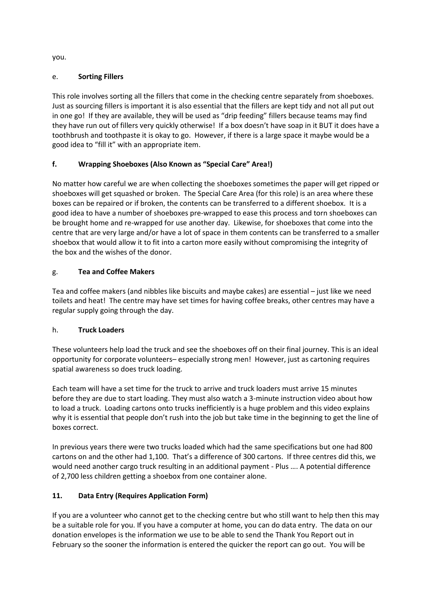you.

# e. **Sorting Fillers**

This role involves sorting all the fillers that come in the checking centre separately from shoeboxes. Just as sourcing fillers is important it is also essential that the fillers are kept tidy and not all put out in one go! If they are available, they will be used as "drip feeding" fillers because teams may find they have run out of fillers very quickly otherwise! If a box doesn't have soap in it BUT it does have a toothbrush and toothpaste it is okay to go. However, if there is a large space it maybe would be a good idea to "fill it" with an appropriate item.

# **f. Wrapping Shoeboxes (Also Known as "Special Care" Area!)**

No matter how careful we are when collecting the shoeboxes sometimes the paper will get ripped or shoeboxes will get squashed or broken. The Special Care Area (for this role) is an area where these boxes can be repaired or if broken, the contents can be transferred to a different shoebox. It is a good idea to have a number of shoeboxes pre-wrapped to ease this process and torn shoeboxes can be brought home and re-wrapped for use another day. Likewise, for shoeboxes that come into the centre that are very large and/or have a lot of space in them contents can be transferred to a smaller shoebox that would allow it to fit into a carton more easily without compromising the integrity of the box and the wishes of the donor.

# g. **Tea and Coffee Makers**

Tea and coffee makers (and nibbles like biscuits and maybe cakes) are essential – just like we need toilets and heat! The centre may have set times for having coffee breaks, other centres may have a regular supply going through the day.

# h. **Truck Loaders**

These volunteers help load the truck and see the shoeboxes off on their final journey. This is an ideal opportunity for corporate volunteers– especially strong men! However, just as cartoning requires spatial awareness so does truck loading.

Each team will have a set time for the truck to arrive and truck loaders must arrive 15 minutes before they are due to start loading. They must also watch a 3-minute instruction video about how to load a truck. Loading cartons onto trucks inefficiently is a huge problem and this video explains why it is essential that people don't rush into the job but take time in the beginning to get the line of boxes correct.

In previous years there were two trucks loaded which had the same specifications but one had 800 cartons on and the other had 1,100. That's a difference of 300 cartons. If three centres did this, we would need another cargo truck resulting in an additional payment - Plus …. A potential difference of 2,700 less children getting a shoebox from one container alone.

# **11. Data Entry (Requires Application Form)**

If you are a volunteer who cannot get to the checking centre but who still want to help then this may be a suitable role for you. If you have a computer at home, you can do data entry. The data on our donation envelopes is the information we use to be able to send the Thank You Report out in February so the sooner the information is entered the quicker the report can go out. You will be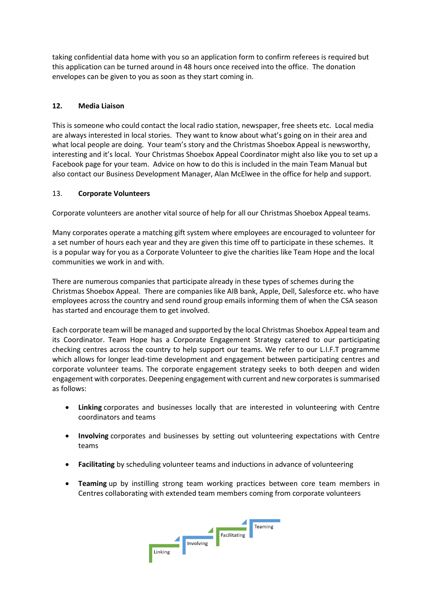taking confidential data home with you so an application form to confirm referees is required but this application can be turned around in 48 hours once received into the office. The donation envelopes can be given to you as soon as they start coming in.

#### **12. Media Liaison**

This is someone who could contact the local radio station, newspaper, free sheets etc. Local media are always interested in local stories. They want to know about what's going on in their area and what local people are doing. Your team's story and the Christmas Shoebox Appeal is newsworthy, interesting and it's local. Your Christmas Shoebox Appeal Coordinator might also like you to set up a Facebook page for your team. Advice on how to do this is included in the main Team Manual but also contact our Business Development Manager, Alan McElwee in the office for help and support.

#### 13. **Corporate Volunteers**

Corporate volunteers are another vital source of help for all our Christmas Shoebox Appeal teams.

Many corporates operate a matching gift system where employees are encouraged to volunteer for a set number of hours each year and they are given this time off to participate in these schemes. It is a popular way for you as a Corporate Volunteer to give the charities like Team Hope and the local communities we work in and with.

There are numerous companies that participate already in these types of schemes during the Christmas Shoebox Appeal. There are companies like AIB bank, Apple, Dell, Salesforce etc. who have employees across the country and send round group emails informing them of when the CSA season has started and encourage them to get involved.

Each corporate team will be managed and supported by the local Christmas Shoebox Appeal team and its Coordinator. Team Hope has a Corporate Engagement Strategy catered to our participating checking centres across the country to help support our teams. We refer to our L.I.F.T programme which allows for longer lead-time development and engagement between participating centres and corporate volunteer teams. The corporate engagement strategy seeks to both deepen and widen engagement with corporates. Deepening engagement with current and new corporates is summarised as follows:

- **Linking** corporates and businesses locally that are interested in volunteering with Centre coordinators and teams
- **Involving** corporates and businesses by setting out volunteering expectations with Centre teams
- **Facilitating** by scheduling volunteer teams and inductions in advance of volunteering
- **Teaming** up by instilling strong team working practices between core team members in Centres collaborating with extended team members coming from corporate volunteers